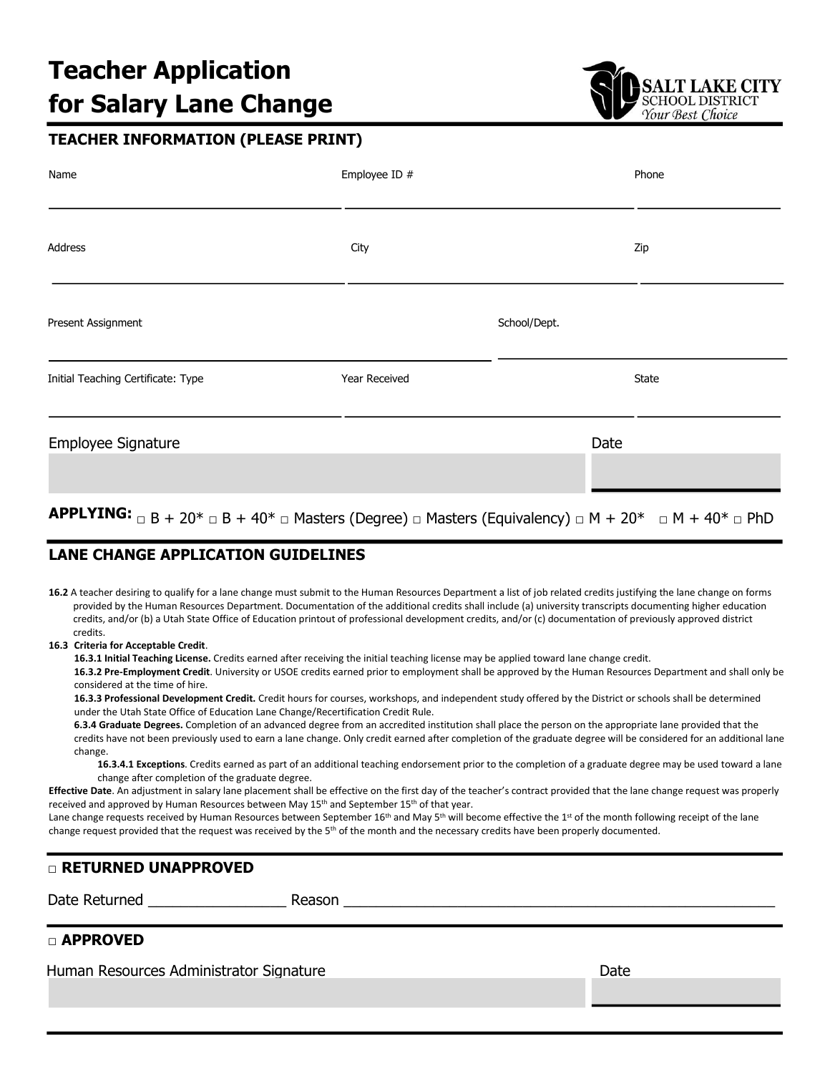# **Teacher Application for Salary Lane Change**



## **TEACHER INFORMATION (PLEASE PRINT)**

| Name                               | Employee ID # |              | Phone |
|------------------------------------|---------------|--------------|-------|
| Address                            | City          |              | Zip   |
| Present Assignment                 |               | School/Dept. |       |
| Initial Teaching Certificate: Type | Year Received |              | State |
| Employee Signature                 |               | Date         |       |

## **APPLYING:**  $\Box$  B + 20<sup>\*</sup>  $\Box$  B + 40<sup>\*</sup>  $\Box$  Masters (Degree)  $\Box$  Masters (Equivalency)  $\Box$  M + 20<sup>\*</sup>  $\Box$  M + 40<sup>\*</sup>  $\Box$  PhD

## **LANE CHANGE APPLICATION GUIDELINES**

**16.2** A teacher desiring to qualify for a lane change must submit to the Human Resources Department a list of job related credits justifying the lane change on forms provided by the Human Resources Department. Documentation of the additional credits shall include (a) university transcripts documenting higher education credits, and/or (b) a Utah State Office of Education printout of professional development credits, and/or (c) documentation of previously approved district credits.

#### **16.3 Criteria for Acceptable Credit**.

**16.3.1 Initial Teaching License.** Credits earned after receiving the initial teaching license may be applied toward lane change credit.

**16.3.2 Pre-Employment Credit**. University or USOE credits earned prior to employment shall be approved by the Human Resources Department and shall only be considered at the time of hire.

**16.3.3 Professional Development Credit.** Credit hours for courses, workshops, and independent study offered by the District or schools shall be determined under the Utah State Office of Education Lane Change/Recertification Credit Rule.

**6.3.4 Graduate Degrees.** Completion of an advanced degree from an accredited institution shall place the person on the appropriate lane provided that the credits have not been previously used to earn a lane change. Only credit earned after completion of the graduate degree will be considered for an additional lane change.

**16.3.4.1 Exceptions**. Credits earned as part of an additional teaching endorsement prior to the completion of a graduate degree may be used toward a lane change after completion of the graduate degree.

**Effective Date**. An adjustment in salary lane placement shall be effective on the first day of the teacher's contract provided that the lane change request was properly received and approved by Human Resources between May 15<sup>th</sup> and September 15<sup>th</sup> of that year.

Lane change requests received by Human Resources between September 16<sup>th</sup> and May 5<sup>th</sup> will become effective the 1<sup>st</sup> of the month following receipt of the lane change request provided that the request was received by the  $5<sup>th</sup>$  of the month and the necessary credits have been properly documented.

### □ **RETURNED UNAPPROVED**

Date Returned **Example 20** Reason **Reason Example 20** Reason **Example 20** Security 20 and 20 Security 20 and 20 Security 20 and 20 Security 20 Security 20 and 20 Security 20 Security 20 Security 20 Security 20 Security 2

## □ **APPROVED**

Human Resources Administrator Signature **Date** Date Date